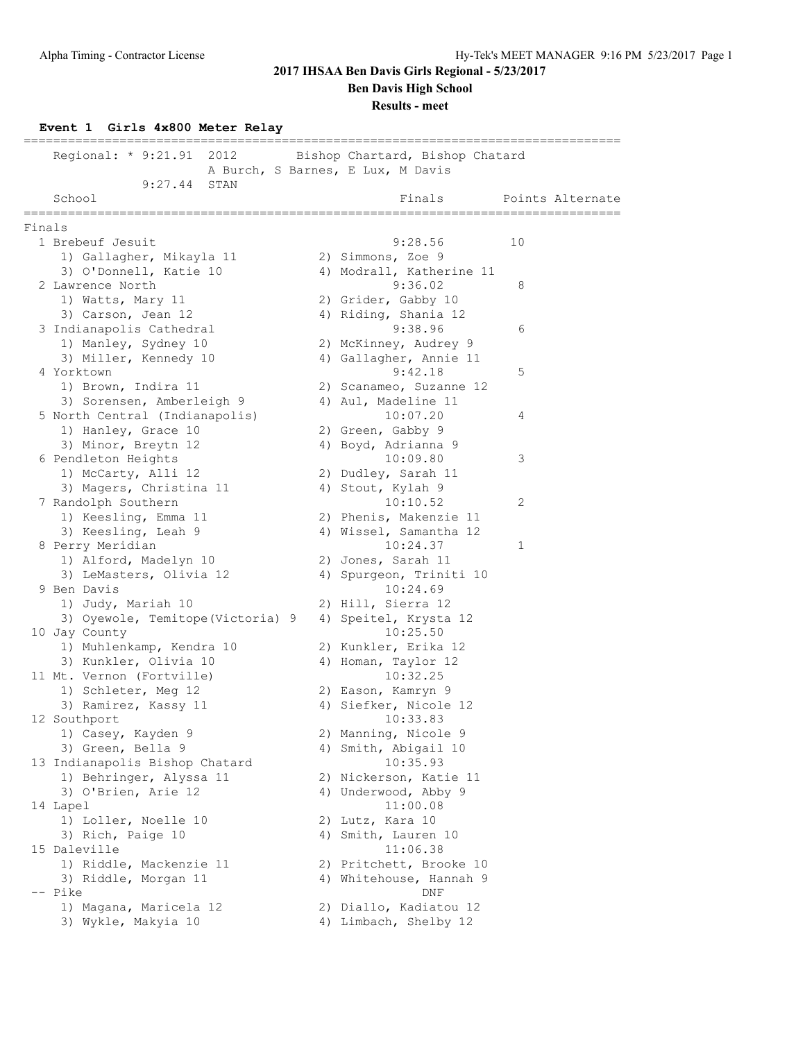**Ben Davis High School**

### **Results - meet**

# **Event 1 Girls 4x800 Meter Relay**

|        | Regional: * 9:21.91 2012                     | Bishop Chartard, Bishop Chatard<br>A Burch, S Barnes, E Lux, M Davis |                  |
|--------|----------------------------------------------|----------------------------------------------------------------------|------------------|
|        | 9:27.44<br>STAN<br>School<br>=============== | Finals<br>===================================                        | Points Alternate |
| Finals |                                              |                                                                      |                  |
|        | 1 Brebeuf Jesuit                             | 9:28.56                                                              | 10               |
|        | 1) Gallagher, Mikayla 11                     | 2) Simmons, Zoe 9                                                    |                  |
|        | 3) O'Donnell, Katie 10                       | 4) Modrall, Katherine 11                                             |                  |
|        | 2 Lawrence North                             | 9:36.02                                                              | 8                |
|        | 1) Watts, Mary 11                            | 2) Grider, Gabby 10                                                  |                  |
|        | 3) Carson, Jean 12                           | 4) Riding, Shania 12                                                 |                  |
|        | 3 Indianapolis Cathedral                     | 9:38.96                                                              | 6                |
|        | 1) Manley, Sydney 10                         | 2) McKinney, Audrey 9                                                |                  |
|        | 3) Miller, Kennedy 10                        | 4) Gallagher, Annie 11                                               |                  |
|        | 4 Yorktown                                   | 9:42.18                                                              | 5                |
|        | 1) Brown, Indira 11                          | 2) Scanameo, Suzanne 12                                              |                  |
|        | 3) Sorensen, Amberleigh 9                    | 4) Aul, Madeline 11                                                  |                  |
|        | 5 North Central (Indianapolis)               | 10:07.20                                                             | 4                |
|        | 1) Hanley, Grace 10                          | 2) Green, Gabby 9                                                    |                  |
|        | 3) Minor, Breytn 12                          | 4) Boyd, Adrianna 9                                                  |                  |
|        | 6 Pendleton Heights                          | 10:09.80                                                             | 3                |
|        | 1) McCarty, Alli 12                          | 2) Dudley, Sarah 11                                                  |                  |
|        | 3) Magers, Christina 11                      | 4) Stout, Kylah 9                                                    |                  |
|        | 7 Randolph Southern                          | 10:10.52                                                             | 2                |
|        | 1) Keesling, Emma 11                         | 2) Phenis, Makenzie 11                                               |                  |
|        | 3) Keesling, Leah 9                          | 4) Wissel, Samantha 12                                               |                  |
|        | 8 Perry Meridian                             | 10:24.37                                                             | 1                |
|        | 1) Alford, Madelyn 10                        | 2) Jones, Sarah 11                                                   |                  |
|        | 3) LeMasters, Olivia 12                      | 4) Spurgeon, Triniti 10                                              |                  |
|        | 9 Ben Davis                                  | 10:24.69                                                             |                  |
|        | 1) Judy, Mariah 10                           | 2) Hill, Sierra 12                                                   |                  |
|        | 3) Oyewole, Temitope (Victoria) 9            | 4) Speitel, Krysta 12                                                |                  |
|        | 10 Jay County                                | 10:25.50                                                             |                  |
|        | 1) Muhlenkamp, Kendra 10                     | 2) Kunkler, Erika 12                                                 |                  |
|        | 3) Kunkler, Olivia 10                        | 4) Homan, Taylor 12                                                  |                  |
|        | 11 Mt. Vernon (Fortville)                    | 10:32.25                                                             |                  |
|        | 1) Schleter, Meg 12                          | 2) Eason, Kamryn 9                                                   |                  |
|        | 3) Ramirez, Kassy 11                         | 4) Siefker, Nicole 12                                                |                  |
|        | 12 Southport                                 | 10:33.83                                                             |                  |
|        | 1) Casey, Kayden 9                           | 2) Manning, Nicole 9                                                 |                  |
|        | 3) Green, Bella 9                            | 4) Smith, Abigail 10                                                 |                  |
|        | 13 Indianapolis Bishop Chatard               | 10:35.93                                                             |                  |
|        | 1) Behringer, Alyssa 11                      | 2) Nickerson, Katie 11                                               |                  |
|        | 3) O'Brien, Arie 12                          | 4) Underwood, Abby 9                                                 |                  |
|        | 14 Lapel                                     | 11:00.08                                                             |                  |
|        | 1) Loller, Noelle 10                         | 2) Lutz, Kara 10                                                     |                  |
|        | 3) Rich, Paige 10                            | 4) Smith, Lauren 10                                                  |                  |
|        | 15 Daleville                                 | 11:06.38                                                             |                  |
|        | 1) Riddle, Mackenzie 11                      | 2) Pritchett, Brooke 10                                              |                  |
|        | 3) Riddle, Morgan 11                         | 4) Whitehouse, Hannah 9                                              |                  |
|        | -- Pike                                      | DNF                                                                  |                  |
|        | 1) Magana, Maricela 12                       | 2) Diallo, Kadiatou 12                                               |                  |
|        | 3) Wykle, Makyia 10                          | 4) Limbach, Shelby 12                                                |                  |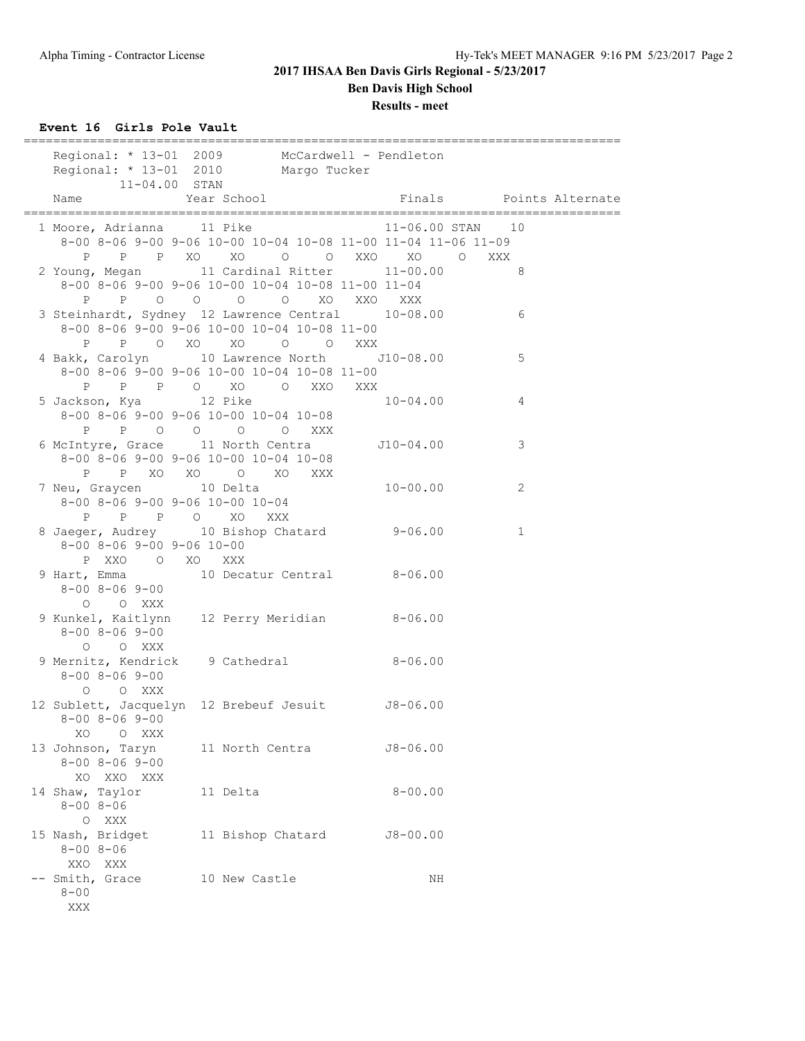## **2017 IHSAA Ben Davis Girls Regional - 5/23/2017 Ben Davis High School Results - meet**

**Event 16 Girls Pole Vault**

| Regional: * 13-01 2009 McCardwell - Pendleton<br>Regional: * 13-01 2010 Margo Tucker                          | ================                                                                                            |                      | -------------------------------- |
|---------------------------------------------------------------------------------------------------------------|-------------------------------------------------------------------------------------------------------------|----------------------|----------------------------------|
| $11 - 04.00$ STAN<br>Name                                                                                     | Year School                                                                                                 |                      | Finals Points Alternate          |
| 1 Moore, Adrianna 11 Pike                                                                                     | 8-00 8-06 9-00 9-06 10-00 10-04 10-08 11-00 11-04 11-06 11-09                                               | $11-06.00$ STAN $10$ |                                  |
| 2 Young, Megan 11 Cardinal Ritter 11-00.00                                                                    | P P P XO XO O O XXO XO O XXX<br>8-00 8-06 9-00 9-06 10-00 10-04 10-08 11-00 11-04<br>P P O O O O XO XXO XXX |                      | 8 <sup>1</sup>                   |
| 3 Steinhardt, Sydney 12 Lawrence Central 10-08.00                                                             | 8-00 8-06 9-00 9-06 10-00 10-04 10-08 11-00<br>P P O XO XO O O XXX                                          |                      | 6                                |
| 4 Bakk, Carolyn 10 Lawrence North J10-08.00                                                                   | 8-00 8-06 9-00 9-06 10-00 10-04 10-08 11-00                                                                 |                      | 5                                |
| 5 Jackson, Kya           12 Pike                                                                              | 8-00 8-06 9-00 9-06 10-00 10-04 10-08<br>P P O O O O XXX                                                    | $10 - 04.00$         | 4                                |
| 6 McIntyre, Grace 11 North Centra 510-04.00                                                                   | 8-00 8-06 9-00 9-06 10-00 10-04 10-08<br>P P XO XO O XO XXX                                                 |                      | 3                                |
| 7 Neu, Graycen 10 Delta<br>$8-00$ $8-06$ $9-00$ $9-06$ $10-00$ $10-04$<br>P P P O XO XXX                      |                                                                                                             | $10 - 00.00$         | 2                                |
| 8 Jaeger, Audrey 10 Bishop Chatard 9-06.00<br>$8 - 00$ $8 - 06$ $9 - 00$ $9 - 06$ $10 - 00$<br>P XXO O XO XXX |                                                                                                             |                      | $\mathbf{1}$                     |
| 9 Hart, Emma 10 Decatur Central 8-06.00<br>$8 - 00$ $8 - 06$ $9 - 00$<br>O O XXX                              |                                                                                                             |                      |                                  |
| 9 Kunkel, Kaitlynn 12 Perry Meridian 8-06.00<br>$8 - 00$ $8 - 06$ $9 - 00$<br>O O XXX                         |                                                                                                             |                      |                                  |
| 9 Mernitz, Kendrick 9 Cathedral 8-06.00<br>$8 - 00$ $8 - 06$ $9 - 00$<br>O O XXX                              |                                                                                                             |                      |                                  |
| 12 Sublett, Jacquelyn 12 Brebeuf Jesuit J8-06.00<br>$8 - 00$ $8 - 06$ $9 - 00$<br>XO.<br>O XXX                |                                                                                                             |                      |                                  |
| 13 Johnson, Taryn<br>$8 - 00$ $8 - 06$ $9 - 00$<br>XO XXO XXX                                                 | 11 North Centra                                                                                             | $J8 - 06.00$         |                                  |
| 14 Shaw, Taylor<br>$8 - 008 - 06$<br>O XXX                                                                    | 11 Delta                                                                                                    | $8 - 00.00$          |                                  |
| 15 Nash, Bridget<br>$8 - 008 - 06$<br>XXO XXX                                                                 | 11 Bishop Chatard                                                                                           | $J8 - 00.00$         |                                  |
| -- Smith, Grace<br>$8 - 00$<br>XXX                                                                            | 10 New Castle                                                                                               | ΝH                   |                                  |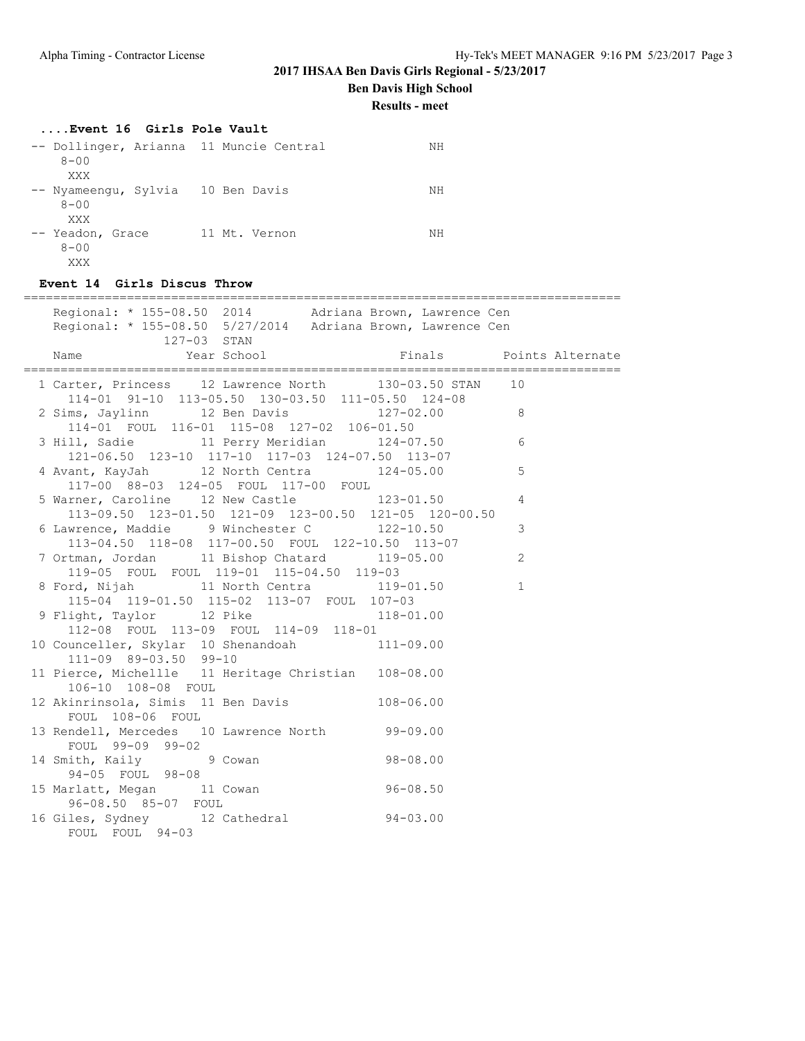**Ben Davis High School**

**Results - meet**

### **....Event 16 Girls Pole Vault**

| -- Dollinger, Arianna 11 Muncie Central<br>$8 - 00$         |               | ΝH |
|-------------------------------------------------------------|---------------|----|
| XXX<br>-- Nyameengu, Sylvia 10 Ben Davis<br>$8 - 00$<br>XXX |               | ΝH |
| -- Yeadon, Grace<br>$8 - 00$<br>XXX                         | 11 Mt. Vernon | ΝH |

### **Event 14 Girls Discus Throw**

| ___________________________________<br>------------------------------------                                                          |                |  |
|--------------------------------------------------------------------------------------------------------------------------------------|----------------|--|
| Regional: * 155-08.50 2014 Adriana Brown, Lawrence Cen<br>Regional: * 155-08.50 5/27/2014 Adriana Brown, Lawrence Cen<br>127-03 STAN |                |  |
| Year School Tinals Points Alternate<br>Name                                                                                          |                |  |
| 1 Carter, Princess 12 Lawrence North 130-03.50 STAN 10<br>114-01 91-10 113-05.50 130-03.50 111-05.50 124-08                          |                |  |
| 2 Sims, Jaylinn 12 Ben Davis 127-02.00<br>114-01 FOUL 116-01 115-08 127-02 106-01.50                                                 |                |  |
| 3 Hill, Sadie 11 Perry Meridian 124-07.50<br>121-06.50 123-10 117-10 117-03 124-07.50 113-07                                         | 6              |  |
| 4 Avant, KayJah 12 North Centra 124-05.00<br>117-00 88-03 124-05 FOUL 117-00 FOUL                                                    | $\mathbf 5$    |  |
| 5 Warner, Caroline 12 New Castle 123-01.50<br>113-09.50 123-01.50 121-09 123-00.50 121-05 120-00.50                                  | $\overline{4}$ |  |
| 6 Lawrence, Maddie 9 Winchester C 122-10.50<br>113-04.50 118-08 117-00.50 FOUL 122-10.50 113-07                                      | 3              |  |
| 7 Ortman, Jordan 11 Bishop Chatard 119-05.00<br>119-05 FOUL FOUL 119-01 115-04.50 119-03                                             | 2              |  |
| 8 Ford, Nijah 11 North Centra 119-01.50<br>115-04 119-01.50 115-02 113-07 FOUL 107-03                                                | $\mathbf{1}$   |  |
| 9 Flight, Taylor 12 Pike 118-01.00<br>112-08 FOUL 113-09 FOUL 114-09 118-01                                                          |                |  |
| 10 Counceller, Skylar 10 Shenandoah 111-09.00<br>111-09 89-03.50 99-10                                                               |                |  |
| 11 Pierce, Michellle 11 Heritage Christian 108-08.00<br>106-10 108-08 FOUL                                                           |                |  |
| 12 Akinrinsola, Simis 11 Ben Davis 108-06.00<br>FOUL 108-06 FOUL                                                                     |                |  |
| 13 Rendell, Mercedes 10 Lawrence North 99-09.00<br>FOUL 99-09 99-02                                                                  |                |  |
| $98 - 08.00$<br>14 Smith, Kaily 9 Cowan<br>$94 - 05$ FOUL $98 - 08$                                                                  |                |  |
| $94-03$ $15$ $Marlatt$ , $Megan$ 11 Cowan<br>06.08.50 06.08.50 $\frac{15}{15}$<br>96-08.50 85-07 FOUL                                |                |  |
| 16 Giles, Sydney 12 Cathedral 94-03.00<br>FOUL FOUL 94-03                                                                            |                |  |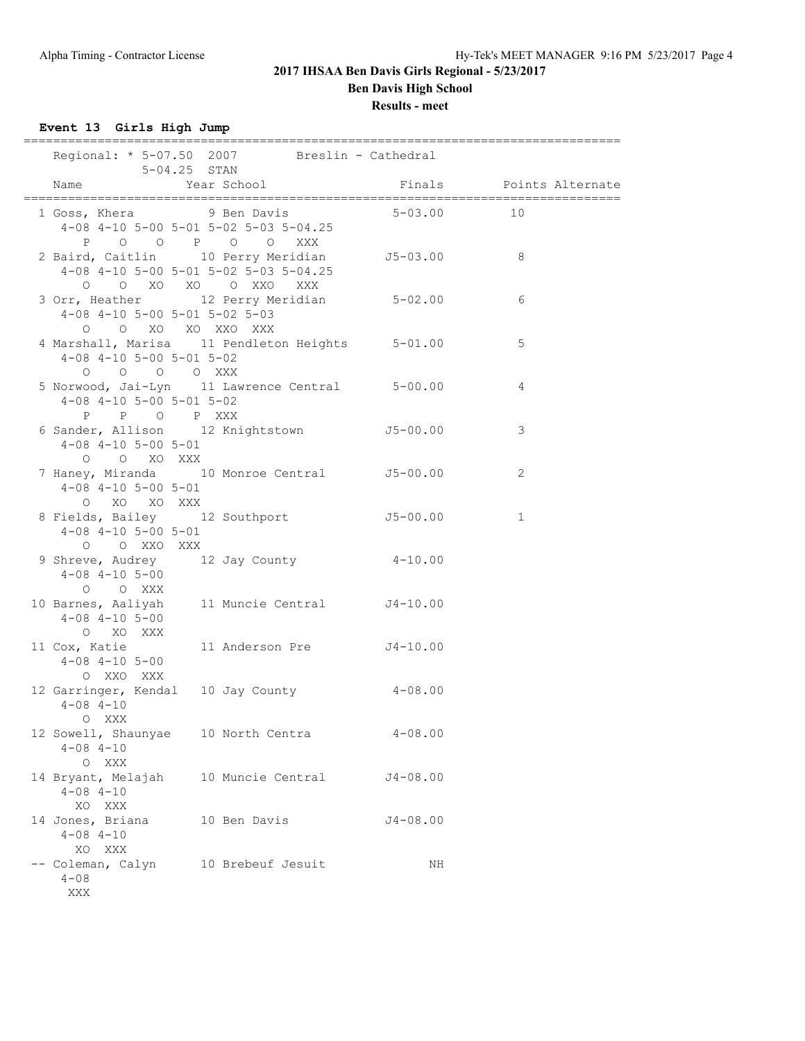**Results - meet**

**Event 13 Girls High Jump**

|                                                                | =================<br>Regional: * 5-07.50 2007 Breslin - Cathedral                                                           |                |                         |
|----------------------------------------------------------------|-----------------------------------------------------------------------------------------------------------------------------|----------------|-------------------------|
| $5-04.25$ STAN<br>Name                                         | Year School                                                                                                                 |                | Finals Points Alternate |
| 1 Goss, Khera 19 Ben Davis<br>P 0 0 P 0 0                      | 4-08 4-10 5-00 5-01 5-02 5-03 5-04.25<br>XXX                                                                                | $5 - 03.00$ 10 |                         |
|                                                                | 2 Baird, Caitlin 10 Perry Meridian J5-03.00 8<br>$4-08$ $4-10$ $5-00$ $5-01$ $5-02$ $5-03$ $5-04.25$<br>O O XO XO O XXO XXX |                |                         |
| $4-08$ $4-10$ $5-00$ $5-01$ $5-02$ $5-03$<br>O O XO XO XXO XXX | 3 Orr, Heather 12 Perry Meridian 5-02.00                                                                                    |                | 6                       |
| $4-08$ $4-10$ $5-00$ $5-01$ $5-02$<br>0 0 0 0 XXX              | 4 Marshall, Marisa 11 Pendleton Heights 5-01.00                                                                             |                | 5                       |
| $4-08$ $4-10$ $5-00$ $5-01$ $5-02$<br>P P O P XXX              | 5 Norwood, Jai-Lyn 11 Lawrence Central 5-00.00                                                                              |                | 4                       |
| $4-08$ $4-10$ $5-00$ $5-01$<br>O O XO XXX                      | 6 Sander, Allison 12 Knightstown 55-00.00                                                                                   |                | 3                       |
| $4 - 08$ $4 - 10$ $5 - 00$ $5 - 01$<br>O XO XO XXX             | 7 Haney, Miranda 10 Monroe Central 55-00.00                                                                                 |                | 2                       |
| $4 - 08$ $4 - 10$ $5 - 00$ $5 - 01$<br>O O XXO XXX             | 8 Fields, Bailey 12 Southport 55-00.00                                                                                      |                | $\mathbf 1$             |
| $4 - 08$ $4 - 10$ $5 - 00$<br>O O XXX                          | 9 Shreve, Audrey 12 Jay County 4-10.00                                                                                      |                |                         |
| $4 - 08$ $4 - 10$ $5 - 00$<br>O XO XXX                         | 10 Barnes, Aaliyah 11 Muncie Central 54-10.00                                                                               |                |                         |
| 11 Cox, Katie<br>$4 - 08$ $4 - 10$ $5 - 00$<br>O XXO XXX       | 11 Anderson Pre J4-10.00                                                                                                    |                |                         |
| $4 - 08$ $4 - 10$<br>O XXX                                     | 12 Garringer, Kendal 10 Jay County 4-08.00                                                                                  |                |                         |
| 12 Sowell, Shaunyae<br>$4 - 08$ $4 - 10$<br>O XXX              | 10 North Centra                                                                                                             | $4 - 08.00$    |                         |
| 14 Bryant, Melajah<br>$4 - 08$ $4 - 10$<br>XO XXX              | 10 Muncie Central                                                                                                           | $J4 - 08.00$   |                         |
| 14 Jones, Briana<br>$4 - 08$ $4 - 10$<br>XO XXX                | 10 Ben Davis                                                                                                                | $J4 - 08.00$   |                         |
| -- Coleman, Calyn<br>$4 - 08$<br>XXX                           | 10 Brebeuf Jesuit                                                                                                           | ΝH             |                         |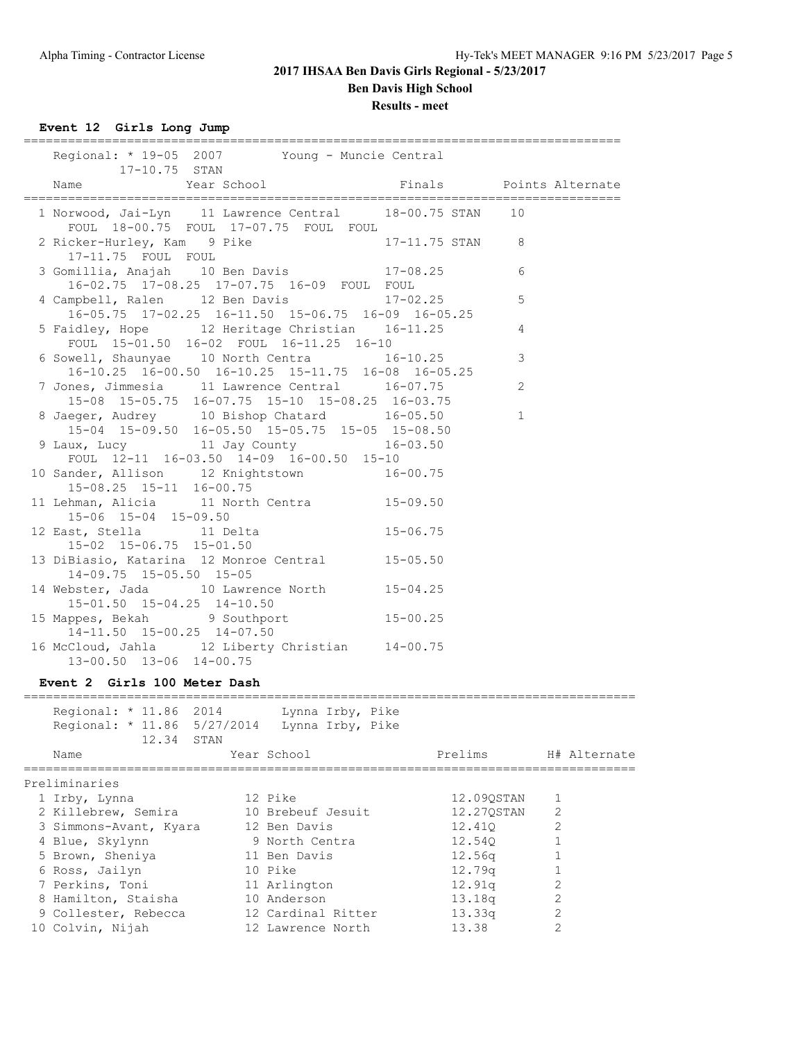# **Results - meet**

**Event 12 Girls Long Jump**

| Regional: * 19-05 2007 Young - Muncie Central<br>17-10.75 STAN                                             |                         |                |  |
|------------------------------------------------------------------------------------------------------------|-------------------------|----------------|--|
| Year School<br>Name                                                                                        | Finals Points Alternate |                |  |
| 1 Norwood, Jai-Lyn 11 Lawrence Central 18-00.75 STAN 10<br>FOUL 18-00.75 FOUL 17-07.75 FOUL FOUL           |                         |                |  |
| 2 Ricker-Hurley, Kam 9 Pike 17-11.75 STAN 8<br>17-11.75 FOUL FOUL                                          |                         |                |  |
| 3 Gomillia, Anajah 10 Ben Davis 17-08.25<br>16-02.75 17-08.25 17-07.75 16-09 FOUL FOUL                     |                         | 6              |  |
| 4 Campbell, Ralen 12 Ben Davis 17-02.25<br>16-05.75 17-02.25 16-11.50 15-06.75 16-09 16-05.25              |                         | 5              |  |
| 5 Faidley, Hope 12 Heritage Christian 16-11.25<br>FOUL 15-01.50 16-02 FOUL 16-11.25 16-10                  |                         | 4              |  |
| 6 Sowell, Shaunyae 10 North Centra 16-10.25<br>16-10.25 16-00.50 16-10.25 15-11.75 16-08 16-05.25          |                         | 3              |  |
| 7 Jones, Jimmesia 11 Lawrence Central 16-07.75<br>15-08 15-05.75 16-07.75 15-10 15-08.25 16-03.75          |                         | $\overline{2}$ |  |
| 8 Jaeger, Audrey 10 Bishop Chatard 16-05.50<br>$15-04$ $15-09.50$ $16-05.50$ $15-05.75$ $15-05$ $15-08.50$ |                         | $\mathbf{1}$   |  |
| 9 Laux, Lucy 11 Jay County 16-03.50<br>FOUL $12-11$ $16-03.50$ $14-09$ $16-00.50$ $15-10$                  |                         |                |  |
| 10 Sander, Allison 12 Knightstown 16-00.75<br>15-08.25 15-11 16-00.75                                      |                         |                |  |
| 11 Lehman, Alicia 11 North Centra 15-09.50<br>15-06 15-04 15-09.50                                         |                         |                |  |
| 12 East, Stella 11 Delta 15-06.75<br>15-02 15-06.75 15-01.50                                               |                         |                |  |
| 13 DiBiasio, Katarina 12 Monroe Central 15-05.50<br>14-09.75 15-05.50 15-05                                |                         |                |  |
| 14 Webster, Jada 10 Lawrence North 15-04.25<br>15-01.50 15-04.25 14-10.50                                  |                         |                |  |
| 15 Mappes, Bekah 9 Southport 15-00.25<br>14-11.50 15-00.25 14-07.50                                        |                         |                |  |
| 16 McCloud, Jahla 12 Liberty Christian 14-00.75<br>13-00.50 13-06 14-00.75                                 |                         |                |  |
| Event 2 Girls 100 Meter Dash                                                                               |                         |                |  |

| Regional: * 11.86 2014<br>Regional: * 11.86 5/27/2014<br>12.34 STAN | Lynna Irby, Pike<br>Lynna Irby, Pike |                    |                |
|---------------------------------------------------------------------|--------------------------------------|--------------------|----------------|
| Name                                                                | Year School                          | Prelims            | H# Alternate   |
| Preliminaries                                                       |                                      |                    |                |
| 1 Irby, Lynna                                                       | 12 Pike                              | 12.090STAN         |                |
| 2 Killebrew, Semira                                                 | 10 Brebeuf Jesuit                    | 12.270STAN         | 2              |
| 3 Simmons-Avant, Kyara                                              | 12 Ben Davis                         | 12.410             | 2              |
| 4 Blue, Skylynn                                                     | 9 North Centra                       | 12.540             |                |
| 5 Brown, Sheniya                                                    | 11 Ben Davis                         | 12.56a             |                |
| 6 Ross, Jailyn                                                      | 10 Pike                              | 12.79a             |                |
| 7 Perkins, Toni                                                     | 11 Arlington                         | 12.91q             |                |
| 8 Hamilton, Staisha                                                 | 10 Anderson                          | 13.18 <sub>q</sub> | $\overline{c}$ |
| 9 Collester, Rebecca                                                | 12 Cardinal Ritter                   | 13.33q             | $\overline{2}$ |
| 10 Colvin, Nijah                                                    | 12 Lawrence North                    | 13.38              | $\mathcal{L}$  |
|                                                                     |                                      |                    |                |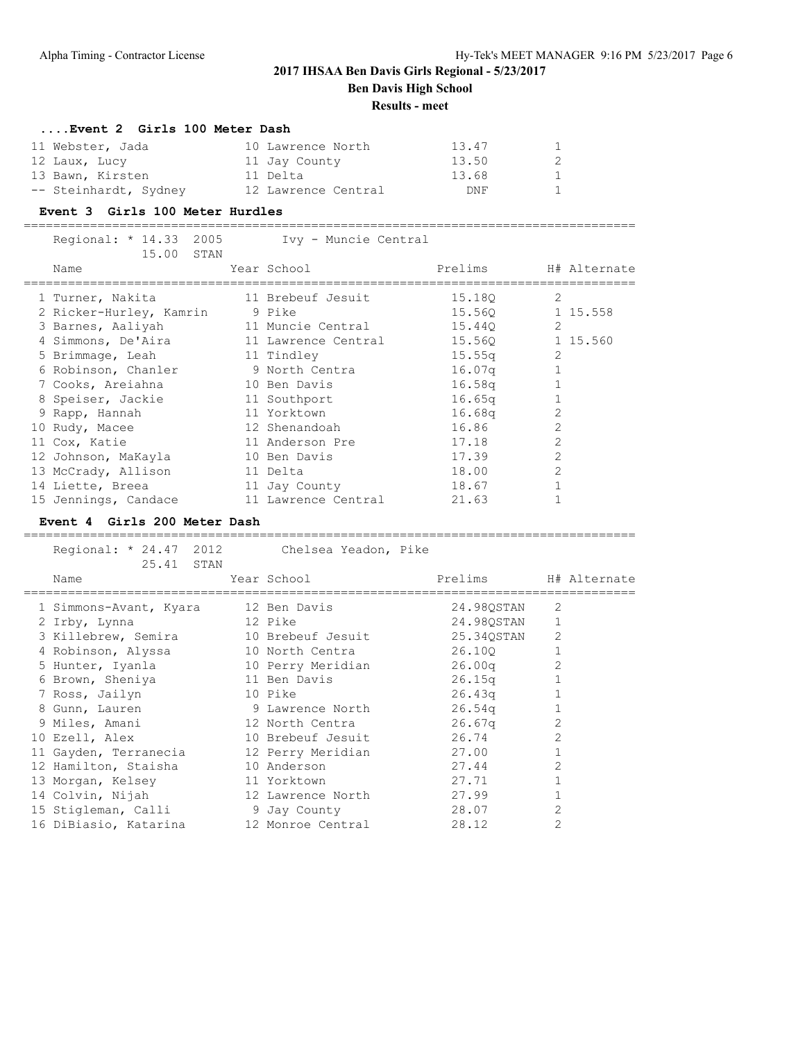**Ben Davis High School**

#### **Results - meet**

#### **....Event 2 Girls 100 Meter Dash**

| 11 Webster, Jada      | 10 Lawrence North   | 13.47 | $1 -$        |
|-----------------------|---------------------|-------|--------------|
| 12 Laux, Lucy         | 11 Jay County       | 13.50 | 2            |
| 13 Bawn, Kirsten      | 11 Delta            | 13.68 | $\mathbf{1}$ |
| -- Steinhardt, Sydney | 12 Lawrence Central | DNF   | $1 \quad$    |

#### **Event 3 Girls 100 Meter Hurdles**

===================================================================================

| Regional: * 14.33 2005<br>15.00 STAN | Ivy - Muncie Central |                    |                |
|--------------------------------------|----------------------|--------------------|----------------|
| Name                                 | Year School          | Prelims            | H# Alternate   |
| 1 Turner, Nakita                     | 11 Brebeuf Jesuit    | 15.180             | 2              |
| 2 Ricker-Hurley, Kamrin              | 9 Pike               | 15.560             | 1 15.558       |
| 3 Barnes, Aaliyah                    | 11 Muncie Central    | 15.44Q             | 2              |
| 4 Simmons, De'Aira                   | 11 Lawrence Central  | 15.560             | 1 15.560       |
| 5 Brimmage, Leah                     | 11 Tindley           | 15.55q             | 2              |
| 6 Robinson, Chanler                  | 9 North Centra       | 16.07 <sub>q</sub> |                |
| 7 Cooks, Areiahna                    | 10 Ben Davis         | 16.58q             |                |
| 8 Speiser, Jackie                    | 11 Southport         | 16.65 <sub>q</sub> |                |
| 9 Rapp, Hannah                       | 11 Yorktown          | 16.68q             | $\overline{2}$ |
| 10 Rudy, Macee                       | 12 Shenandoah        | 16.86              | $\overline{2}$ |
| 11 Cox, Katie                        | 11 Anderson Pre      | 17.18              | $\overline{2}$ |
| 12 Johnson, MaKayla                  | 10 Ben Davis         | 17.39              | $\overline{2}$ |
| 13 McCrady, Allison                  | 11 Delta             | 18.00              | $\overline{2}$ |
| 14 Liette, Breea                     | 11 Jay County        | 18.67              |                |
| 15 Jennings, Candace                 | 11 Lawrence Central  | 21.63              |                |

#### **Event 4 Girls 200 Meter Dash**

=================================================================================== Regional: \* 24.47 2012 Chelsea Yeadon, Pike 25.41 STAN Name Tear School Prelims H# Alternate =================================================================================== 1 Simmons-Avant, Kyara 12 Ben Davis 24.98QSTAN 2 2 Irby, Lynna 12 Pike 24.98QSTAN 1 3 Killebrew, Semira 10 Brebeuf Jesuit 25.34QSTAN 2 4 Robinson, Alyssa 10 North Centra 26.10Q 1 5 Hunter, Iyanla 10 Perry Meridian 26.00q 2 6 Brown, Sheniya 11 Ben Davis 26.15q 1 7 Ross, Jailyn 10 Pike 26.43q 1 8 Gunn, Lauren 9 Lawrence North 26.54q 1 9 Miles, Amani 12 North Centra 26.67q 2 10 Ezell, Alex 10 Brebeuf Jesuit 26.74 2 11 Gayden, Terranecia 12 Perry Meridian 27.00 1 12 Hamilton, Staisha 10 Anderson 27.44 2 13 Morgan, Kelsey 11 Yorktown 27.71 1 14 Colvin, Nijah 12 Lawrence North 27.99 1 15 Stigleman, Calli 9 Jay County 28.07 2 16 DiBiasio, Katarina 12 Monroe Central 28.12 2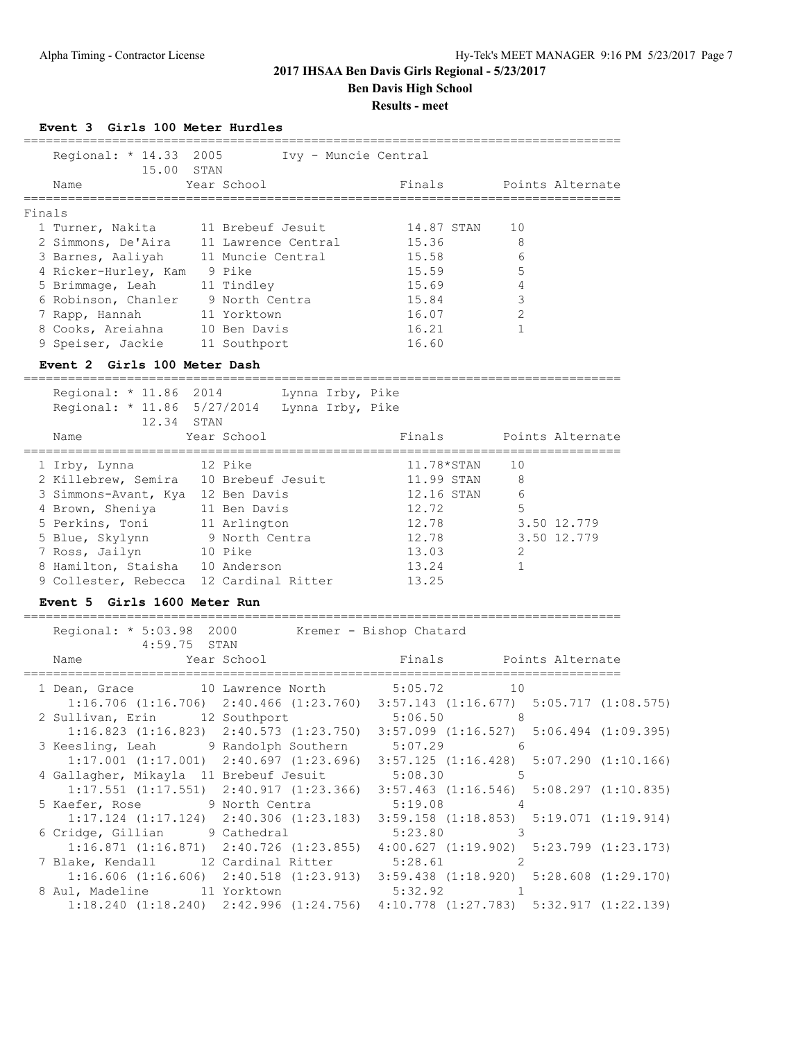### **Results - meet**

**Event 3 Girls 100 Meter Hurdles**

|        | Regional: * 14.33 2005<br>15.00 STAN |    |                     | Ivy - Muncie Central |                  |
|--------|--------------------------------------|----|---------------------|----------------------|------------------|
|        | Name                                 |    | Year School         | Finals               | Points Alternate |
| Finals |                                      |    |                     |                      |                  |
|        | 1 Turner, Nakita                     |    | 11 Brebeuf Jesuit   | 14.87 STAN           | 10               |
|        | 2 Simmons, De'Aira                   |    | 11 Lawrence Central | 15.36                | 8                |
|        | 3 Barnes, Aaliyah                    |    | 11 Muncie Central   | 15.58                | 6                |
|        | 4 Ricker-Hurley, Kam                 |    | 9 Pike              | 15.59                | 5                |
|        | 5 Brimmage, Leah                     |    | 11 Tindley          | 15.69                |                  |
|        | 6 Robinson, Chanler                  |    | 9 North Centra      | 15.84                | 3                |
|        | 7 Rapp, Hannah                       |    | 11 Yorktown         | 16.07                | $\mathfrak{D}$   |
|        | 8 Cooks, Areiahna                    |    | 10 Ben Davis        | 16.21                |                  |
|        | 9 Speiser, Jackie                    | 11 | Southport           | 16.60                |                  |

#### **Event 2 Girls 100 Meter Dash**

=================================================================================

| Regional: * 11.86 2014<br>Regional: * 11.86 5/27/2014<br>12.34 STAN | Lynna Irby, Pike<br>Lynna Irby, Pike |              |                |                  |
|---------------------------------------------------------------------|--------------------------------------|--------------|----------------|------------------|
| Name                                                                | Year School                          | Finals       |                | Points Alternate |
| 1 Irby, Lynna                                                       | 12 Pike                              | $11.78*STAN$ | 10             |                  |
| 2 Killebrew, Semira                                                 | 10 Brebeuf Jesuit                    | 11.99 STAN   | 8              |                  |
| 3 Simmons-Avant, Kya                                                | 12 Ben Davis                         | 12.16 STAN   | 6              |                  |
| 4 Brown, Sheniya                                                    | 11 Ben Davis                         | 12.72        | 5              |                  |
| 5 Perkins, Toni                                                     | 11 Arlington                         | 12.78        |                | 3.50 12.779      |
| 5 Blue, Skylynn                                                     | 9 North Centra                       | 12.78        |                | 3.50 12.779      |
| 7 Ross, Jailyn                                                      | 10 Pike                              | 13.03        | $\mathfrak{D}$ |                  |
| 8 Hamilton, Staisha                                                 | 10 Anderson                          | 13.24        |                |                  |
| 9 Collester, Rebecca                                                | 12 Cardinal Ritter                   | 13.25        |                |                  |

#### **Event 5 Girls 1600 Meter Run**

| Regional: * 5:03.98 2000 Kremer - Bishop Chatard<br>$4:59.75$ STAN                              |  |  |
|-------------------------------------------------------------------------------------------------|--|--|
|                                                                                                 |  |  |
| 1 Dean, Grace 10 Lawrence North 5:05.72 10                                                      |  |  |
| $1:16.706$ (1:16.706) $2:40.466$ (1:23.760) $3:57.143$ (1:16.677) $5:05.717$ (1:08.575)         |  |  |
| 2 Sullivan, Erin 12 Southport 5:06.50 8                                                         |  |  |
| $1:16.823$ (1:16.823) 2:40.573 (1:23.750) 3:57.099 (1:16.527) 5:06.494 (1:09.395)               |  |  |
| 3 Keesling, Leah 9 Randolph Southern 5:07.29 6                                                  |  |  |
| $1:17.001$ $(1:17.001)$ $2:40.697$ $(1:23.696)$ $3:57.125$ $(1:16.428)$ $5:07.290$ $(1:10.166)$ |  |  |
| 4 Gallagher, Mikayla 11 Brebeuf Jesuit 5:08.30 5                                                |  |  |
| $1:17.551$ $(1:17.551)$ $2:40.917$ $(1:23.366)$ $3:57.463$ $(1:16.546)$ $5:08.297$ $(1:10.835)$ |  |  |
| 5 Kaefer, Rose 9 North Centra 5:19.08 4                                                         |  |  |
| $1:17.124$ $(1:17.124)$ $2:40.306$ $(1:23.183)$ $3:59.158$ $(1:18.853)$ $5:19.071$ $(1:19.914)$ |  |  |
| 6 Cridge, Gillian 9 Cathedral 5:23.80 3                                                         |  |  |
| $1:16.871$ (1:16.871) $2:40.726$ (1:23.855) $4:00.627$ (1:19.902) 5:23.799 (1:23.173)           |  |  |
| 7 Blake, Kendall 12 Cardinal Ritter 5:28.61 2                                                   |  |  |
| $1:16.606$ (1:16.606) 2:40.518 (1:23.913) 3:59.438 (1:18.920) 5:28.608 (1:29.170)               |  |  |
| 8 Aul, Madeline 11 Yorktown 5:32.92 1                                                           |  |  |
| $1:18.240$ $(1:18.240)$ $2:42.996$ $(1:24.756)$ $4:10.778$ $(1:27.783)$ $5:32.917$ $(1:22.139)$ |  |  |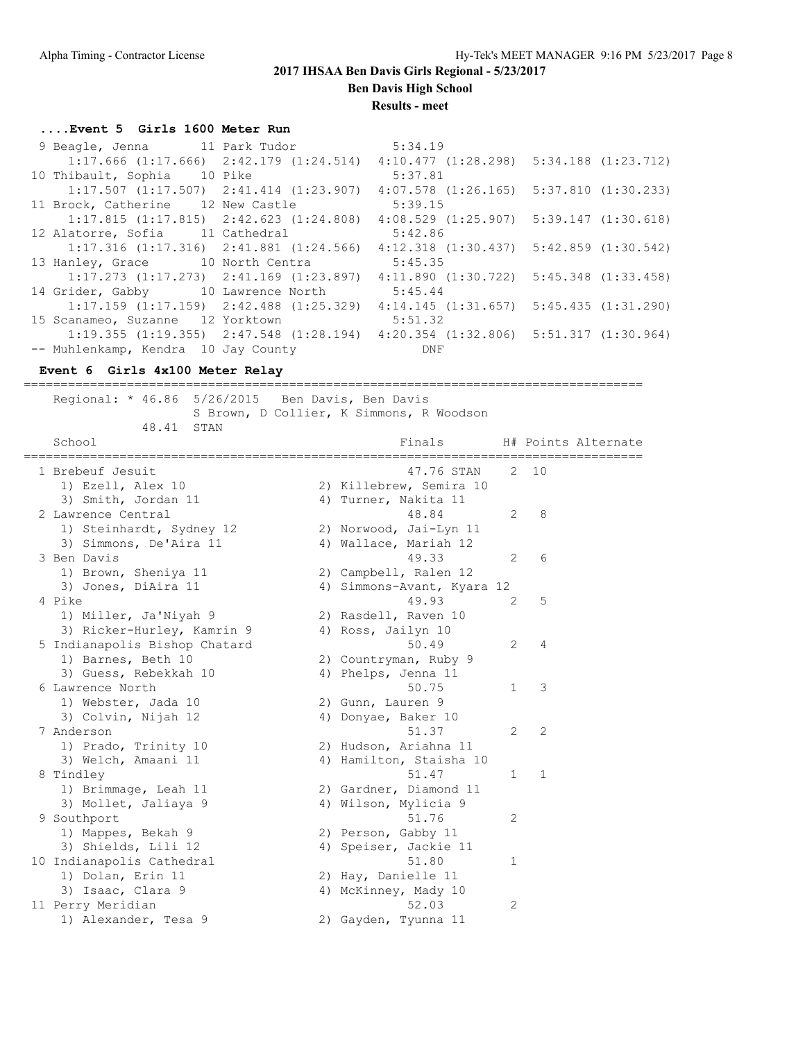**Ben Davis High School**

**Results - meet**

#### **....Event 5 Girls 1600 Meter Run**

| 9 Beagle, Jenna 11 Park Tudor                                                                   |               | 5:34.19                                         |  |
|-------------------------------------------------------------------------------------------------|---------------|-------------------------------------------------|--|
| $1:17.666$ $(1:17.666)$ $2:42.179$ $(1:24.514)$ $4:10.477$ $(1:28.298)$ $5:34.188$ $(1:23.712)$ |               |                                                 |  |
| 10 Thibault, Sophia<br>10 Pike                                                                  |               | 5:37.81                                         |  |
| $1:17.507$ $(1:17.507)$ $2:41.414$ $(1:23.907)$ $4:07.578$ $(1:26.165)$ $5:37.810$ $(1:30.233)$ |               |                                                 |  |
| 11 Brock, Catherine                                                                             | 12 New Castle | 5:39.15                                         |  |
| $1:17.815$ $(1:17.815)$ $2:42.623$ $(1:24.808)$                                                 |               | $4:08.529$ $(1:25.907)$ $5:39.147$ $(1:30.618)$ |  |
| 12 Alatorre, Sofia 11 Cathedral                                                                 |               | 5:42.86                                         |  |
| $1:17.316$ $(1:17.316)$ $2:41.881$ $(1:24.566)$                                                 |               | $4:12.318$ $(1:30.437)$ $5:42.859$ $(1:30.542)$ |  |
| 13 Hanley, Grace 10 North Centra                                                                |               | 5:45.35                                         |  |
| $1:17.273$ $(1:17.273)$ $2:41.169$ $(1:23.897)$ $4:11.890$ $(1:30.722)$ $5:45.348$ $(1:33.458)$ |               |                                                 |  |
| 14 Grider, Gabby 10 Lawrence North                                                              |               | 5:45.44                                         |  |
| $1:17.159$ $(1:17.159)$ $2:42.488$ $(1:25.329)$                                                 |               | $4:14.145$ $(1:31.657)$ $5:45.435$ $(1:31.290)$ |  |
| 15 Scanameo, Suzanne 12 Yorktown                                                                |               | 5:51.32                                         |  |
| $1:19.355$ $(1:19.355)$ $2:47.548$ $(1:28.194)$ $4:20.354$ $(1:32.806)$ $5:51.317$ $(1:30.964)$ |               |                                                 |  |
| -- Muhlenkamp, Kendra 10 Jay County                                                             |               | DNF                                             |  |

====================================================================================

#### **Event 6 Girls 4x100 Meter Relay**

 Regional: \* 46.86 5/26/2015 Ben Davis, Ben Davis S Brown, D Collier, K Simmons, R Woodson 48.41 STAN School **Finals** H# Points Alternate ==================================================================================== 1 Brebeuf Jesuit 47.76 STAN 2 10 1) Ezell, Alex 10 2) Killebrew, Semira 10 3) Smith, Jordan 11 4) Turner, Nakita 11 2 Lawrence Central 48.84 2 8 1) Steinhardt, Sydney 12 2) Norwood, Jai-Lyn 11 3) Simmons, De'Aira 11 4) Wallace, Mariah 12 3 Ben Davis 49.33 2 6 1) Brown, Sheniya 11 2) Campbell, Ralen 12 3) Jones, DiAira 11 4) Simmons-Avant, Kyara 12 4 Pike 49.93 2 5 1) Miller, Ja'Niyah 9 2) Rasdell, Raven 10 3) Ricker-Hurley, Kamrin 9  $\hskip1cm 4)$  Ross, Jailyn 10 5 Indianapolis Bishop Chatard 50.49 2 4 1) Barnes, Beth 10 2) Countryman, Ruby 9 3) Guess, Rebekkah 10  $\hskip1cm$  4) Phelps, Jenna 11 6 Lawrence North 50.75 1 3 1) Webster, Jada 10 2) Gunn, Lauren 9 3) Colvin, Nijah 12 19 4) Donyae, Baker 10 7 Anderson 51.37 2 2 1) Prado, Trinity 10 2) Hudson, Ariahna 11 3) Welch, Amaani 11 4) Hamilton, Staisha 10 8 Tindley 51.47 1 1 1) Brimmage, Leah 11 2) Gardner, Diamond 11 3) Mollet, Jaliaya 9 4) Wilson, Mylicia 9 9 Southport 51.76 2 1) Mappes, Bekah 9 2) Person, Gabby 11 3) Shields, Lili 12 4) Speiser, Jackie 11 10 Indianapolis Cathedral 51.80 1 1) Dolan, Erin 11 2) Hay, Danielle 11 3) Isaac, Clara 9 4) McKinney, Mady 10 11 Perry Meridian 52.03 2 1) Alexander, Tesa 9 2) Gayden, Tyunna 11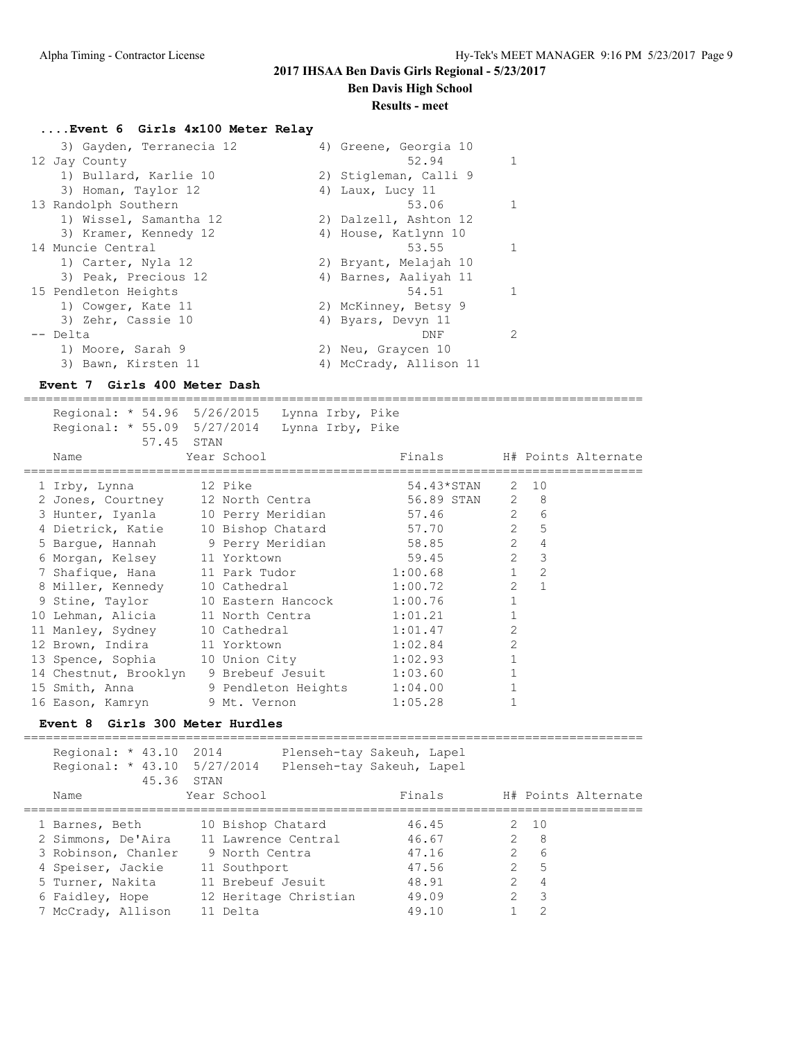**Ben Davis High School**

#### **Results - meet**

### **....Event 6 Girls 4x100 Meter Relay**

| 3) Gayden, Terranecia 12 | 4) Greene, Georgia 10  |
|--------------------------|------------------------|
| 12 Jay County            | 52.94<br>$\mathbf{1}$  |
| 1) Bullard, Karlie 10    | 2) Stigleman, Calli 9  |
| 3) Homan, Taylor 12      | 4) Laux, Lucy 11       |
| 13 Randolph Southern     | 53.06<br>-1.           |
| 1) Wissel, Samantha 12   | 2) Dalzell, Ashton 12  |
| 3) Kramer, Kennedy 12    | 4) House, Katlynn 10   |
| 14 Muncie Central        | 53.55<br>$\mathbf{1}$  |
| 1) Carter, Nyla 12       | 2) Bryant, Melajah 10  |
| 3) Peak, Precious 12     | 4) Barnes, Aaliyah 11  |
| 15 Pendleton Heights     | 54.51<br>$\mathbf{1}$  |
| 1) Cowger, Kate 11       | 2) McKinney, Betsy 9   |
| 3) Zehr, Cassie 10       | 4) Byars, Devyn 11     |
| -- Delta                 | 2<br>DNF               |
| 1) Moore, Sarah 9        | 2) Neu, Graycen 10     |
| 3) Bawn, Kirsten 11      | 4) McCrady, Allison 11 |

#### **Event 7 Girls 400 Meter Dash**

==================================================================================== Regional: \* 54.96 5/26/2015 Lynna Irby, Pike Regional: \* 55.09 5/27/2014 Lynna Irby, Pike 57.45 STAN Name Year School Finals H# Points Alternate ==================================================================================== 1 Irby, Lynna 12 Pike 54.43\*STAN 2 10 2 Jones, Courtney 12 North Centra 56.89 STAN 2 8 3 Hunter, Iyanla 10 Perry Meridian 57.46 2 6 4 Dietrick, Katie 10 Bishop Chatard 57.70 2 5 5 Bargue, Hannah 9 Perry Meridian 58.85 2 4 6 Morgan, Kelsey 11 Yorktown 59.45 2 3 7 Shafique, Hana 11 Park Tudor 1:00.68 1 2 8 Miller, Kennedy 10 Cathedral 1:00.72 2 1 9 Stine, Taylor 10 Eastern Hancock 1:00.76 1 10 Lehman, Alicia 11 North Centra 1:01.21 1 11 Manley, Sydney 10 Cathedral 1:01.47 2 12 Brown, Indira 11 Yorktown 1:02.84 2 13 Spence, Sophia 10 Union City 1:02.93 1 14 Chestnut, Brooklyn 9 Brebeuf Jesuit 1:03.60 1 15 Smith, Anna 9 Pendleton Heights 1:04.00 1 16 Eason, Kamryn 9 Mt. Vernon 1:05.28 1

### **Event 8 Girls 300 Meter Hurdles**

| Regional: * 43.10 2014<br>Regional: * 43.10 5/27/2014 |                       | Plenseh-tay Sakeuh, Lapel<br>Plenseh-tay Sakeuh, Lapel |               |                          |
|-------------------------------------------------------|-----------------------|--------------------------------------------------------|---------------|--------------------------|
| 45.36 STAN<br>Name                                    | Year School           | Finals                                                 |               | H# Points Alternate      |
| 1 Barnes, Beth                                        | 10 Bishop Chatard     | 46.45                                                  |               | 2, 10                    |
| 2 Simmons, De'Aira                                    | 11 Lawrence Central   | 46.67                                                  |               | $2^8$                    |
| 3 Robinson, Chanler                                   | 9 North Centra        | 47.16                                                  | $\mathcal{P}$ | 6                        |
| 4 Speiser, Jackie                                     | 11 Southport          | 47.56                                                  | $\mathcal{P}$ | .5                       |
| 5 Turner, Nakita                                      | 11 Brebeuf Jesuit     | 48.91                                                  | $\mathcal{P}$ | $\overline{4}$           |
| 6 Faidley, Hope                                       | 12 Heritage Christian | 49.09                                                  | $\mathcal{P}$ | $\overline{\phantom{a}}$ |
| 7 McCrady, Allison                                    | 11 Delta              | 49.10                                                  |               | 2                        |
|                                                       |                       |                                                        |               |                          |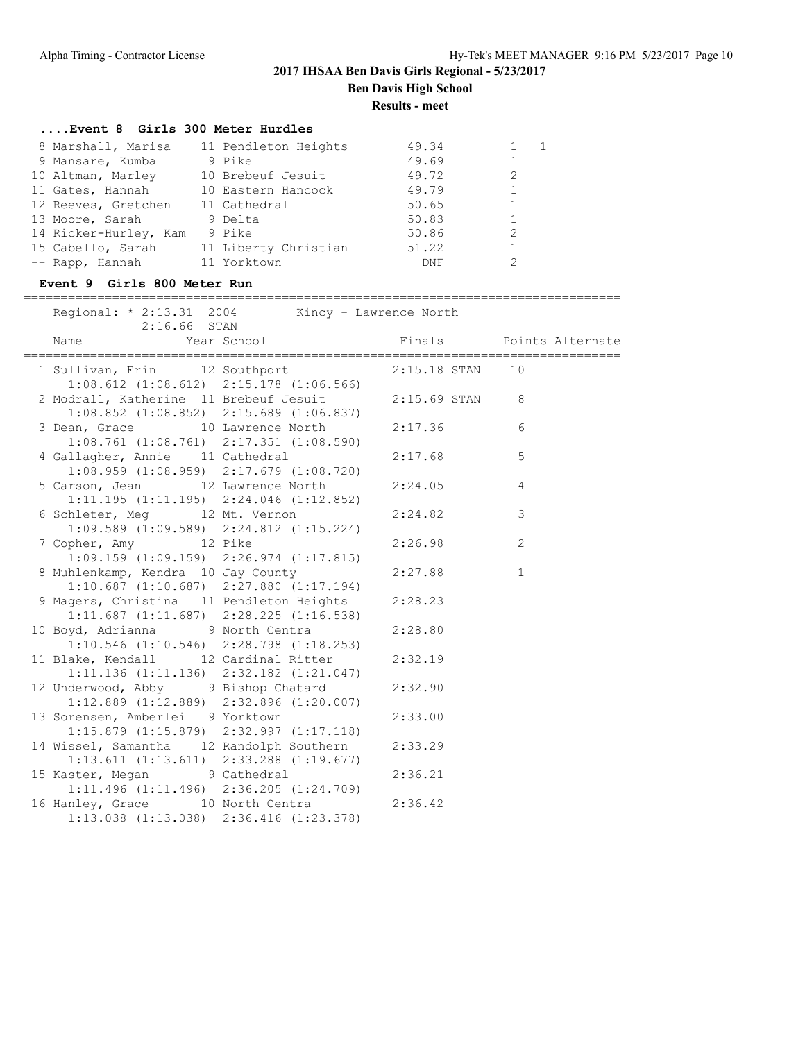**Results - meet**

## **....Event 8 Girls 300 Meter Hurdles**

| 49.34<br>11 Pendleton Heights<br>8 Marshall, Marisa |  |
|-----------------------------------------------------|--|
| 49.69<br>9 Pike<br>9 Mansare, Kumba                 |  |
| 49.72<br>10 Brebeuf Jesuit<br>10 Altman, Marley     |  |
| 49.79<br>10 Eastern Hancock<br>11 Gates, Hannah     |  |
| 50.65<br>12 Reeves, Gretchen<br>11 Cathedral        |  |
| 50.83<br>13 Moore, Sarah<br>9 Delta                 |  |
| 14 Ricker-Hurley, Kam<br>9 Pike<br>50.86            |  |
| 51.22<br>11 Liberty Christian<br>15 Cabello, Sarah  |  |
| 11 Yorktown<br>-- Rapp, Hannah<br>DNF               |  |

### **Event 9 Girls 800 Meter Run**

|                                                                                                          | ------------------------------                                                                                                                | -------------------------------- |                |
|----------------------------------------------------------------------------------------------------------|-----------------------------------------------------------------------------------------------------------------------------------------------|----------------------------------|----------------|
| Regional: * 2:13.31 2004 Kincy - Lawrence North<br>$2:16.66$ STAN                                        |                                                                                                                                               |                                  |                |
| Name                                                                                                     | Expression of the series of the series of the series of the series of the series of the series of the series o<br>Finals The Points Alternate |                                  |                |
| 1 Sullivan, Erin 12 Southport 2:15.18 STAN 10                                                            | $1:08.612$ $(1:08.612)$ $2:15.178$ $(1:06.566)$                                                                                               |                                  |                |
| 2 Modrall, Katherine 11 Brebeuf Jesuit 2:15.69 STAN 8<br>$1:08.852$ $(1:08.852)$ $2:15.689$ $(1:06.837)$ |                                                                                                                                               |                                  |                |
| 3 Dean, Grace 10 Lawrence North<br>$1:08.761$ $(1:08.761)$ $2:17.351$ $(1:08.590)$                       |                                                                                                                                               | 2:17.36                          | 6              |
| 4 Gallagher, Annie 11 Cathedral                                                                          | $1:08.959$ $(1:08.959)$ $2:17.679$ $(1:08.720)$                                                                                               | 2:17.68                          | 5              |
| 5 Carson, Jean 12 Lawrence North<br>$1:11.195$ $(1:11.195)$ $2:24.046$ $(1:12.852)$                      |                                                                                                                                               | 2:24.05                          | $\overline{4}$ |
| 6 Schleter, Meg 12 Mt. Vernon<br>$1:09.589$ $(1:09.589)$ $2:24.812$ $(1:15.224)$                         |                                                                                                                                               | 2:24.82                          | 3              |
| 7 Copher, Amy 12 Pike<br>$1:09.159$ $(1:09.159)$ $2:26.974$ $(1:17.815)$                                 |                                                                                                                                               | 2:26.98                          | 2              |
| 8 Muhlenkamp, Kendra 10 Jay County                                                                       | $1:10.687$ $(1:10.687)$ $2:27.880$ $(1:17.194)$                                                                                               | 2:27.88                          | $\mathbf{1}$   |
| 9 Magers, Christina 11 Pendleton Heights                                                                 | $1:11.687$ $(1:11.687)$ $2:28.225$ $(1:16.538)$                                                                                               | 2:28.23                          |                |
| 10 Boyd, Adrianna 9 North Centra                                                                         | $1:10.546$ $(1:10.546)$ $2:28.798$ $(1:18.253)$                                                                                               | 2:28.80                          |                |
| 11 Blake, Kendall 12 Cardinal Ritter                                                                     | $1:11.136$ $(1:11.136)$ $2:32.182$ $(1:21.047)$                                                                                               | 2:32.19                          |                |
| 12 Underwood, Abby 9 Bishop Chatard<br>$1:12.889$ $(1:12.889)$ $2:32.896$ $(1:20.007)$                   |                                                                                                                                               | 2:32.90                          |                |
| 13 Sorensen, Amberlei 9 Yorktown<br>$1:15.879$ $(1:15.879)$ $2:32.997$ $(1:17.118)$                      |                                                                                                                                               | 2:33.00                          |                |
| 14 Wissel, Samantha 12 Randolph Southern<br>$1:13.611$ $(1:13.611)$ $2:33.288$ $(1:19.677)$              |                                                                                                                                               | 2:33.29                          |                |
| 15 Kaster, Megan 9 Cathedral<br>$1:11.496$ $(1:11.496)$ $2:36.205$ $(1:24.709)$                          |                                                                                                                                               | 2:36.21                          |                |
| 16 Hanley, Grace 10 North Centra<br>$1:13.038$ $(1:13.038)$ $2:36.416$ $(1:23.378)$                      |                                                                                                                                               | 2:36.42                          |                |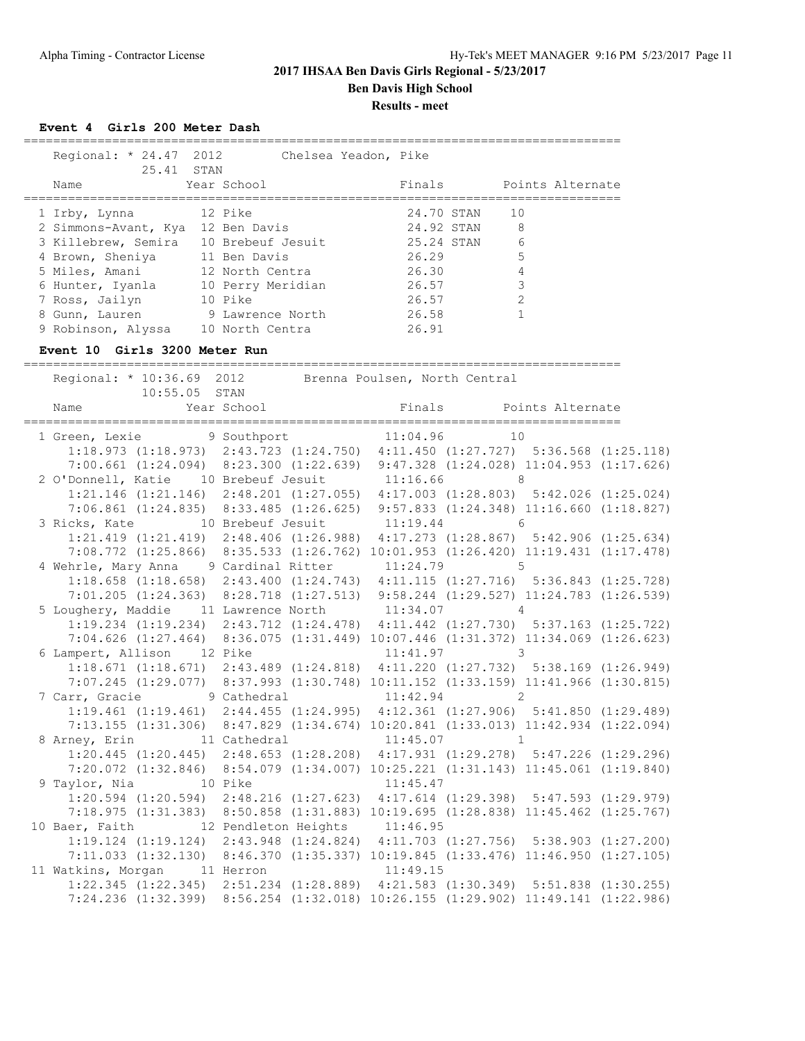### **2017 IHSAA Ben Davis Girls Regional - 5/23/2017 Ben Davis High School Results - meet**

**Event 4 Girls 200 Meter Dash**

| Regional: * 24.47 2012<br>25.41 STAN |                   | Chelsea Yeadon, Pike |            |                  |
|--------------------------------------|-------------------|----------------------|------------|------------------|
| Name                                 | Year School       |                      | Finals     | Points Alternate |
| 1 Irby, Lynna                        | 12 Pike           |                      | 24.70 STAN | 10               |
| 2 Simmons-Avant, Kya                 | 12 Ben Davis      |                      | 24.92 STAN | 8                |
| 3 Killebrew, Semira                  | 10 Brebeuf Jesuit |                      | 25.24 STAN | 6                |
| 4 Brown, Sheniya                     | 11 Ben Davis      |                      | 26.29      | 5                |
| 5 Miles, Amani                       | 12 North Centra   |                      | 26.30      | 4                |
| 6 Hunter, Iyanla                     | 10 Perry Meridian |                      | 26.57      | 3                |
| 7 Ross, Jailyn                       | 10 Pike           |                      | 26.57      | $\overline{2}$   |
| 8 Gunn, Lauren                       | 9 Lawrence North  |                      | 26.58      |                  |
| 9 Robinson, Alyssa                   | 10 North Centra   |                      | 26.91      |                  |

#### **Event 10 Girls 3200 Meter Run**

================================================================================= Regional: \* 10:36.69 2012 Brenna Poulsen, North Central 10:55.05 STAN Name The Year School The Points Alternate ================================================================================= 1 Green, Lexie 9 Southport 11:04.96 10 1:18.973 (1:18.973) 2:43.723 (1:24.750) 4:11.450 (1:27.727) 5:36.568 (1:25.118) 7:00.661 (1:24.094) 8:23.300 (1:22.639) 9:47.328 (1:24.028) 11:04.953 (1:17.626) 2 O'Donnell, Katie 10 Brebeuf Jesuit 11:16.66 8 1:21.146 (1:21.146) 2:48.201 (1:27.055) 4:17.003 (1:28.803) 5:42.026 (1:25.024) 7:06.861 (1:24.835) 8:33.485 (1:26.625) 9:57.833 (1:24.348) 11:16.660 (1:18.827) 3 Ricks, Kate 10 Brebeuf Jesuit 11:19.44 6 1:21.419 (1:21.419) 2:48.406 (1:26.988) 4:17.273 (1:28.867) 5:42.906 (1:25.634) 7:08.772 (1:25.866) 8:35.533 (1:26.762) 10:01.953 (1:26.420) 11:19.431 (1:17.478) 4 Wehrle, Mary Anna 9 Cardinal Ritter 11:24.79 5 1:18.658 (1:18.658) 2:43.400 (1:24.743) 4:11.115 (1:27.716) 5:36.843 (1:25.728) 7:01.205 (1:24.363) 8:28.718 (1:27.513) 9:58.244 (1:29.527) 11:24.783 (1:26.539) 5 Loughery, Maddie 11 Lawrence North 11:34.07 4 1:19.234 (1:19.234) 2:43.712 (1:24.478) 4:11.442 (1:27.730) 5:37.163 (1:25.722) 7:04.626 (1:27.464) 8:36.075 (1:31.449) 10:07.446 (1:31.372) 11:34.069 (1:26.623) 6 Lampert, Allison 12 Pike 11:41.97 3 1:18.671 (1:18.671) 2:43.489 (1:24.818) 4:11.220 (1:27.732) 5:38.169 (1:26.949) 7:07.245 (1:29.077) 8:37.993 (1:30.748) 10:11.152 (1:33.159) 11:41.966 (1:30.815) 7 Carr, Gracie 9 Cathedral 11:42.94 2 1:19.461 (1:19.461) 2:44.455 (1:24.995) 4:12.361 (1:27.906) 5:41.850 (1:29.489) 7:13.155 (1:31.306) 8:47.829 (1:34.674) 10:20.841 (1:33.013) 11:42.934 (1:22.094) 8 Arney, Erin 11 Cathedral 11:45.07 1 1:20.445 (1:20.445) 2:48.653 (1:28.208) 4:17.931 (1:29.278) 5:47.226 (1:29.296) 7:20.072 (1:32.846) 8:54.079 (1:34.007) 10:25.221 (1:31.143) 11:45.061 (1:19.840) 9 Taylor, Nia 10 Pike 11:45.47 1:20.594 (1:20.594) 2:48.216 (1:27.623) 4:17.614 (1:29.398) 5:47.593 (1:29.979) 7:18.975 (1:31.383) 8:50.858 (1:31.883) 10:19.695 (1:28.838) 11:45.462 (1:25.767) 10 Baer, Faith 12 Pendleton Heights 11:46.95 1:19.124 (1:19.124) 2:43.948 (1:24.824) 4:11.703 (1:27.756) 5:38.903 (1:27.200) 7:11.033 (1:32.130) 8:46.370 (1:35.337) 10:19.845 (1:33.476) 11:46.950 (1:27.105) 11 Watkins, Morgan 11 Herron 11:49.15 1:22.345 (1:22.345) 2:51.234 (1:28.889) 4:21.583 (1:30.349) 5:51.838 (1:30.255) 7:24.236 (1:32.399) 8:56.254 (1:32.018) 10:26.155 (1:29.902) 11:49.141 (1:22.986)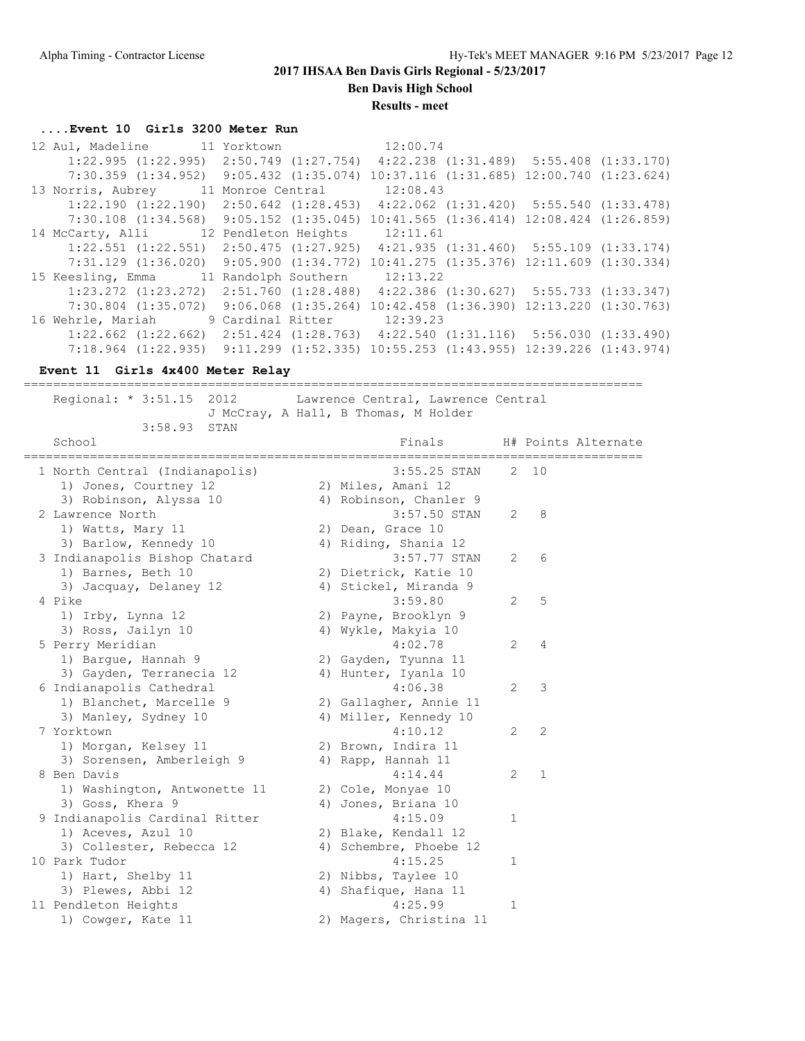**Ben Davis High School**

**Results - meet**

### **....Event 10 Girls 3200 Meter Run**

| 12 Aul, Madeline 11 Yorktown                                                                      |  |                                                                           | 12:00.74 |                                                   |  |
|---------------------------------------------------------------------------------------------------|--|---------------------------------------------------------------------------|----------|---------------------------------------------------|--|
| $1:22.995$ $(1:22.995)$ $2:50.749$ $(1:27.754)$ $4:22.238$ $(1:31.489)$ $5:55.408$ $(1:33.170)$   |  |                                                                           |          |                                                   |  |
| 7:30.359 (1:34.952) 9:05.432 (1:35.074) 10:37.116 (1:31.685) 12:00.740 (1:23.624)                 |  |                                                                           |          |                                                   |  |
| 13 Norris, Aubrey 11 Monroe Central                                                               |  |                                                                           | 12:08.43 |                                                   |  |
| $1:22.190$ $(1:22.190)$ $2:50.642$ $(1:28.453)$ $4:22.062$ $(1:31.420)$ $5:55.540$ $(1:33.478)$   |  |                                                                           |          |                                                   |  |
| $7:30.108$ $(1:34.568)$ $9:05.152$ $(1:35.045)$ $10:41.565$ $(1:36.414)$ $12:08.424$ $(1:26.859)$ |  |                                                                           |          |                                                   |  |
| 14 McCarty, Alli 12 Pendleton Heights 12:11.61                                                    |  |                                                                           |          |                                                   |  |
| $1:22.551$ $(1:22.551)$ $2:50.475$ $(1:27.925)$                                                   |  |                                                                           |          | $4:21.935$ $(1:31.460)$ $5:55.109$ $(1:33.174)$   |  |
| $7:31.129$ $(1:36.020)$                                                                           |  | $9:05.900$ $(1:34.772)$ $10:41.275$ $(1:35.376)$ $12:11.609$ $(1:30.334)$ |          |                                                   |  |
| 15 Keesling, Emma 11 Randolph Southern                                                            |  |                                                                           | 12:13.22 |                                                   |  |
| $1:23.272$ $(1:23.272)$ $2:51.760$ $(1:28.488)$                                                   |  |                                                                           |          | $4:22.386$ $(1:30.627)$ $5:55.733$ $(1:33.347)$   |  |
| $7:30.804$ $(1:35.072)$ $9:06.068$ $(1:35.264)$                                                   |  |                                                                           |          | $10:42.458$ $(1:36.390)$ $12:13.220$ $(1:30.763)$ |  |
| 16 Wehrle, Mariah 9 Cardinal Ritter                                                               |  |                                                                           | 12:39.23 |                                                   |  |
| $1:22.662$ $(1:22.662)$ $2:51.424$ $(1:28.763)$ $4:22.540$ $(1:31.116)$ $5:56.030$ $(1:33.490)$   |  |                                                                           |          |                                                   |  |
| 7:18.964 (1:22.935) 9:11.299 (1:52.335) 10:55.253 (1:43.955) 12:39.226 (1:43.974)                 |  |                                                                           |          |                                                   |  |

#### **Event 11 Girls 4x400 Meter Relay**

==================================================================================== Regional: \* 3:51.15 2012 Lawrence Central, Lawrence Central J McCray, A Hall, B Thomas, M Holder 3:58.93 STAN School **Finals** H# Points Alternate ==================================================================================== 1 North Central (Indianapolis) 3:55.25 STAN 2 10 1) Jones, Courtney 12 2) Miles, Amani 12 3) Robinson, Alyssa 10 4) Robinson, Chanler 9 2 Lawrence North 3:57.50 STAN 2 8 1) Watts, Mary 11 2) Dean, Grace 10 3) Barlow, Kennedy 10 4) Riding, Shania 12 3 Indianapolis Bishop Chatard 3:57.77 STAN 2 6 1) Barnes, Beth 10 2) Dietrick, Katie 10 3) Jacquay, Delaney 12 4) Stickel, Miranda 9 4 Pike 3:59.80 2 5 1) Irby, Lynna 12 2) Payne, Brooklyn 9 3) Ross, Jailyn 10 10 10 4) Wykle, Makyia 10 5 Perry Meridian 4:02.78 2 4 1) Bargue, Hannah 9 2) Gayden, Tyunna 11 3) Gayden, Terranecia 12 4) Hunter, Iyanla 10 6 Indianapolis Cathedral 4:06.38 2 3 1) Blanchet, Marcelle 9 2) Gallagher, Annie 11 3) Manley, Sydney 10  $\hskip1cm$  4) Miller, Kennedy 10 7 Yorktown 4:10.12 2 2 1) Morgan, Kelsey 11 2) Brown, Indira 11 3) Sorensen, Amberleigh 9 (4) Rapp, Hannah 11 8 Ben Davis 4:14.44 2 1 1) Washington, Antwonette 11 2) Cole, Monyae 10 3) Goss, Khera 9 (4) Jones, Briana 10 9 Indianapolis Cardinal Ritter 1991 1208 1208 121 1) Aceves, Azul 10 2) Blake, Kendall 12 3) Collester, Rebecca 12 4) Schembre, Phoebe 12 10 Park Tudor 4:15.25 1 1) Hart, Shelby 11 2) Nibbs, Taylee 10 3) Plewes, Abbi 12 (4) Shafique, Hana 11 11 Pendleton Heights 4:25.99 1 1) Cowger, Kate 11 2) Magers, Christina 11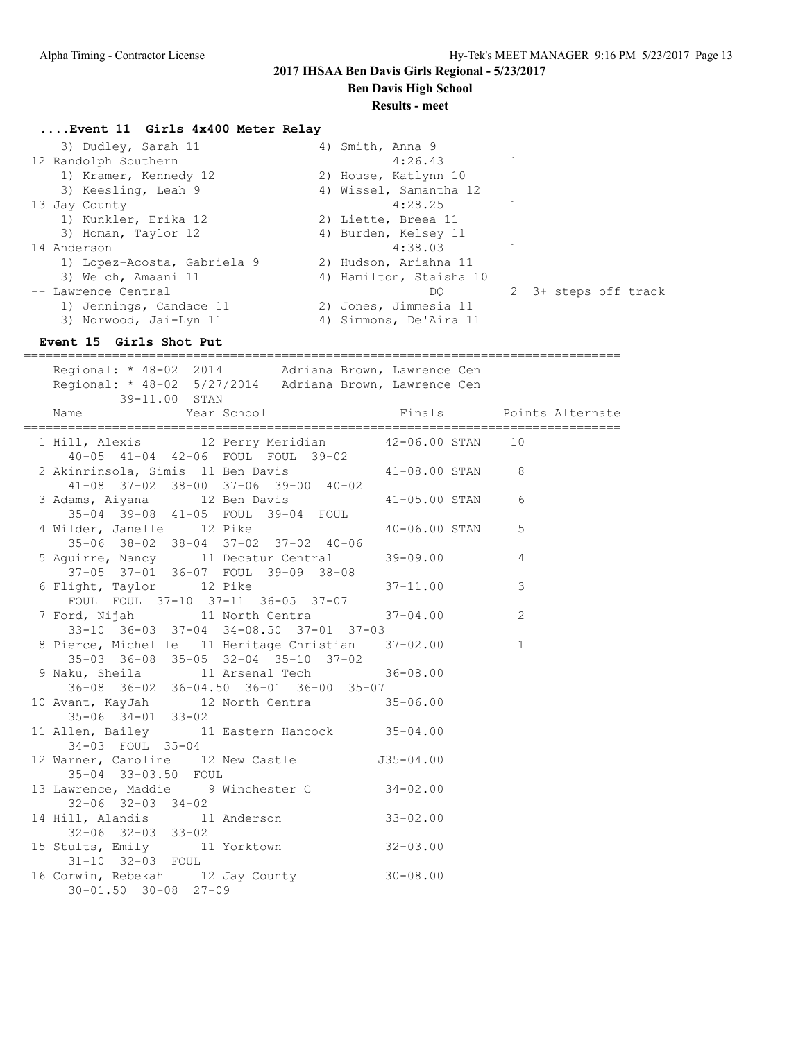**Ben Davis High School**

### **Results - meet**

## **....Event 11 Girls 4x400 Meter Relay**

| 3) Dudley, Sarah 11         | 4) Smith, Anna 9        |                      |
|-----------------------------|-------------------------|----------------------|
| 12 Randolph Southern        | 4:26.43                 |                      |
| 1) Kramer, Kennedy 12       | 2) House, Katlynn 10    |                      |
| 3) Keesling, Leah 9         | 4) Wissel, Samantha 12  |                      |
| 13 Jay County               | 4:28.25                 |                      |
| 1) Kunkler, Erika 12        | 2) Liette, Breea 11     |                      |
| 3) Homan, Taylor 12         | 4) Burden, Kelsey 11    |                      |
| 14 Anderson                 | 4:38.03                 |                      |
| 1) Lopez-Acosta, Gabriela 9 | 2) Hudson, Ariahna 11   |                      |
| 3) Welch, Amaani 11         | 4) Hamilton, Staisha 10 |                      |
| -- Lawrence Central         | DO                      | 2 3+ steps off track |
| 1) Jennings, Candace 11     | 2) Jones, Jimmesia 11   |                      |
| 3) Norwood, Jai-Lyn 11      | 4) Simmons, De'Aira 11  |                      |

## **Event 15 Girls Shot Put**

| Regional: * 48-02 2014   Adriana Brown, Lawrence Cen<br>Regional: * 48-02 5/27/2014 Adriana Brown, Lawrence Cen<br>39-11.00 STAN   |                |
|------------------------------------------------------------------------------------------------------------------------------------|----------------|
| Version of the School of Times and Points Alternate (School of Times School of Times School of Times School of<br>Name             |                |
| 1 Hill, Alexis 12 Perry Meridian 42-06.00 STAN 10                                                                                  |                |
| 40-05 41-04 42-06 FOUL FOUL 39-02<br>2 Akinrinsola, Simis 11 Ben Davis 41-08.00 STAN 8                                             |                |
| $41-08$ $37-02$ $38-00$ $37-06$ $39-00$ $40-02$<br>3 Adams, Aiyana 12 Ben Davis 11-05.00 STAN<br>35-04 39-08 41-05 FOUL 39-04 FOUL | 6              |
| 4 Wilder, Janelle 12 Pike $40-06.00$ STAN<br>35-06 38-02 38-04 37-02 37-02 40-06                                                   | 5              |
| 5 Aguirre, Nancy 11 Decatur Central 39-09.00<br>37-05 37-01 36-07 FOUL 39-09 38-08                                                 | $\overline{4}$ |
| 6 Flight, Taylor 12 Pike 37-11.00<br>FOUL FOUL 37-10 37-11 36-05 37-07                                                             | 3              |
| 7 Ford, Nijah 11 North Centra 37-04.00<br>33-10 36-03 37-04 34-08.50 37-01 37-03                                                   | 2              |
| 8 Pierce, Michellle 11 Heritage Christian 37-02.00<br>35-03 36-08 35-05 32-04 35-10 37-02                                          | $\mathbf{1}$   |
| 9 Naku, Sheila 11 Arsenal Tech 36-08.00<br>36-08 36-02 36-04.50 36-01 36-00 35-07                                                  |                |
| 10 Avant, KayJah 12 North Centra 35-06.00<br>$35 - 06$ $34 - 01$ $33 - 02$                                                         |                |
| 11 Allen, Bailey 11 Eastern Hancock 35-04.00<br>34-03 FOUL 35-04                                                                   |                |
| 12 Warner, Caroline 12 New Castle 535-04.00<br>35-04 33-03.50 FOUL                                                                 |                |
| 13 Lawrence, Maddie 9 Winchester C 34-02.00<br>$32 - 06$ $32 - 03$ $34 - 02$                                                       |                |
| 14 Hill, Alandis 11 Anderson 33-02.00<br>32-06 32-03 33-02                                                                         |                |
| 15 Stults, Emily 11 Yorktown 32-03.00<br>31-10 32-03 FOUL                                                                          |                |
| 16 Corwin, Rebekah 12 Jay County 30-08.00<br>$30 - 01.50$ $30 - 08$ $27 - 09$                                                      |                |